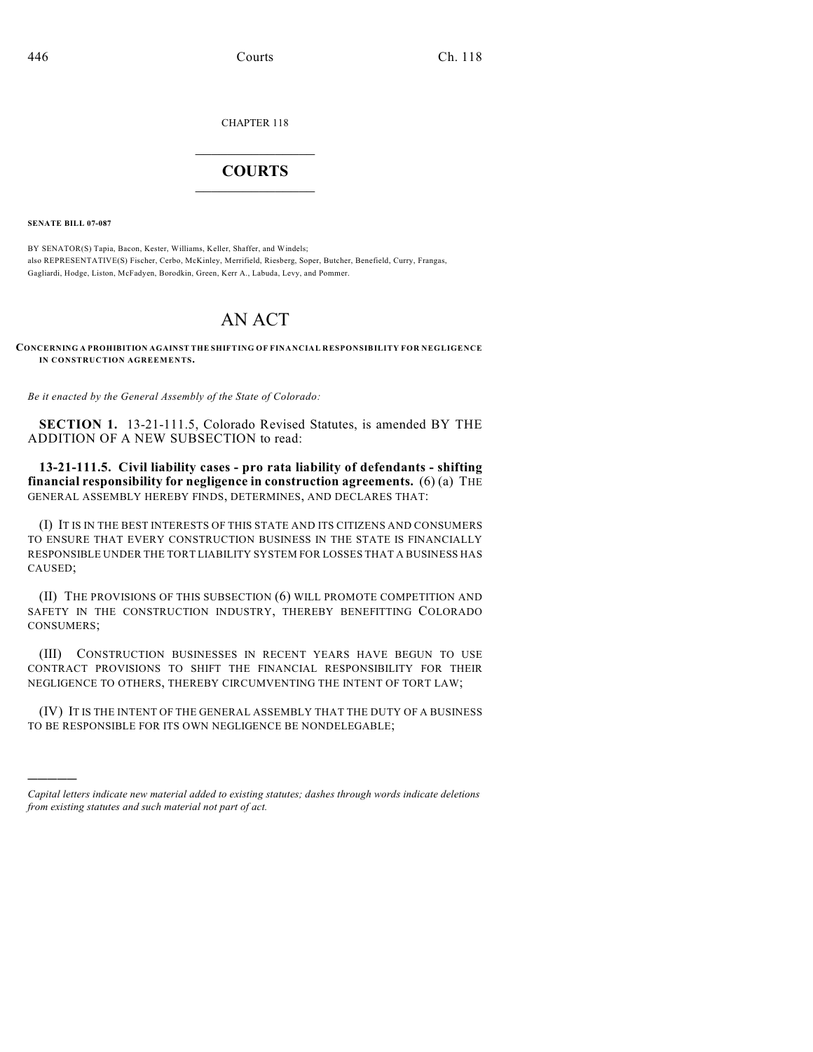CHAPTER 118

## $\overline{\phantom{a}}$  . The set of the set of the set of the set of the set of the set of the set of the set of the set of the set of the set of the set of the set of the set of the set of the set of the set of the set of the set o **COURTS**  $\_$

**SENATE BILL 07-087**

)))))

BY SENATOR(S) Tapia, Bacon, Kester, Williams, Keller, Shaffer, and Windels; also REPRESENTATIVE(S) Fischer, Cerbo, McKinley, Merrifield, Riesberg, Soper, Butcher, Benefield, Curry, Frangas, Gagliardi, Hodge, Liston, McFadyen, Borodkin, Green, Kerr A., Labuda, Levy, and Pommer.

## AN ACT

**CONCERNING A PROHIBITION AGAINST THE SHIFTING OF FINANCIAL RESPONSIBILITY FOR NEGLIGENCE IN CONSTRUCTION AGREEMENTS.**

*Be it enacted by the General Assembly of the State of Colorado:*

**SECTION 1.** 13-21-111.5, Colorado Revised Statutes, is amended BY THE ADDITION OF A NEW SUBSECTION to read:

**13-21-111.5. Civil liability cases - pro rata liability of defendants - shifting financial responsibility for negligence in construction agreements.** (6) (a) THE GENERAL ASSEMBLY HEREBY FINDS, DETERMINES, AND DECLARES THAT:

(I) IT IS IN THE BEST INTERESTS OF THIS STATE AND ITS CITIZENS AND CONSUMERS TO ENSURE THAT EVERY CONSTRUCTION BUSINESS IN THE STATE IS FINANCIALLY RESPONSIBLE UNDER THE TORT LIABILITY SYSTEM FOR LOSSES THAT A BUSINESS HAS CAUSED;

(II) THE PROVISIONS OF THIS SUBSECTION (6) WILL PROMOTE COMPETITION AND SAFETY IN THE CONSTRUCTION INDUSTRY, THEREBY BENEFITTING COLORADO CONSUMERS;

(III) CONSTRUCTION BUSINESSES IN RECENT YEARS HAVE BEGUN TO USE CONTRACT PROVISIONS TO SHIFT THE FINANCIAL RESPONSIBILITY FOR THEIR NEGLIGENCE TO OTHERS, THEREBY CIRCUMVENTING THE INTENT OF TORT LAW;

(IV) IT IS THE INTENT OF THE GENERAL ASSEMBLY THAT THE DUTY OF A BUSINESS TO BE RESPONSIBLE FOR ITS OWN NEGLIGENCE BE NONDELEGABLE;

*Capital letters indicate new material added to existing statutes; dashes through words indicate deletions from existing statutes and such material not part of act.*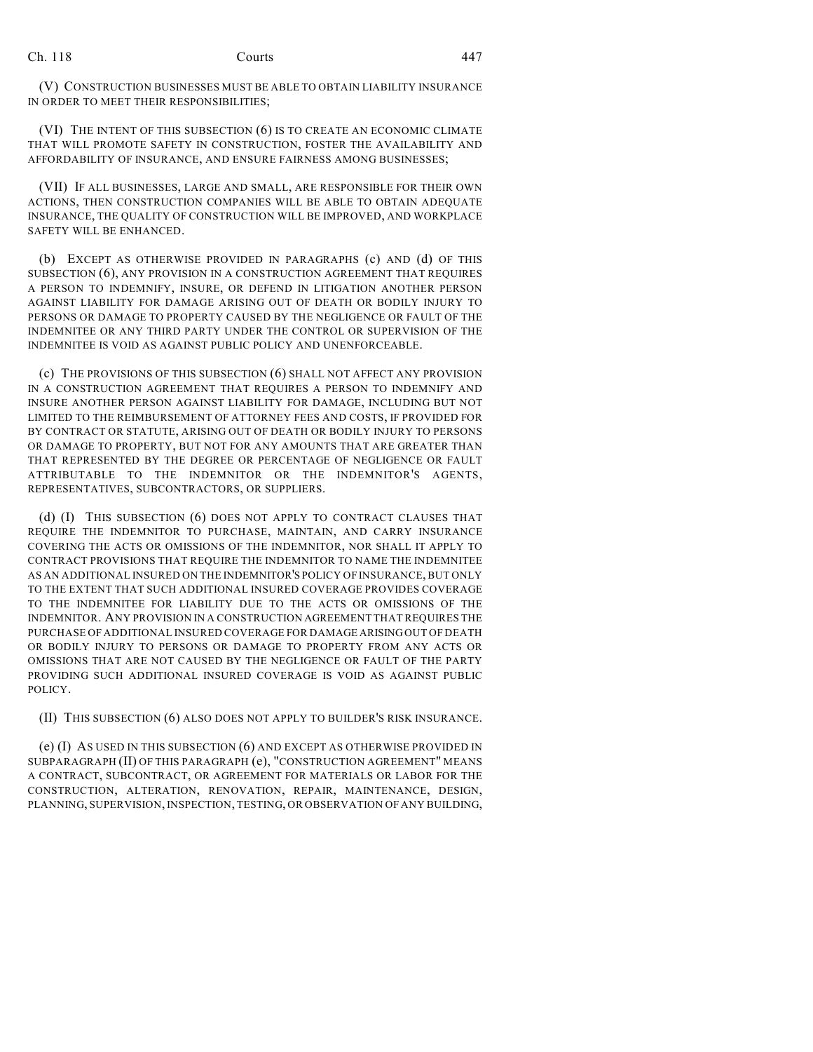(V) CONSTRUCTION BUSINESSES MUST BE ABLE TO OBTAIN LIABILITY INSURANCE IN ORDER TO MEET THEIR RESPONSIBILITIES;

(VI) THE INTENT OF THIS SUBSECTION (6) IS TO CREATE AN ECONOMIC CLIMATE THAT WILL PROMOTE SAFETY IN CONSTRUCTION, FOSTER THE AVAILABILITY AND AFFORDABILITY OF INSURANCE, AND ENSURE FAIRNESS AMONG BUSINESSES;

(VII) IF ALL BUSINESSES, LARGE AND SMALL, ARE RESPONSIBLE FOR THEIR OWN ACTIONS, THEN CONSTRUCTION COMPANIES WILL BE ABLE TO OBTAIN ADEQUATE INSURANCE, THE QUALITY OF CONSTRUCTION WILL BE IMPROVED, AND WORKPLACE SAFETY WILL BE ENHANCED.

(b) EXCEPT AS OTHERWISE PROVIDED IN PARAGRAPHS (c) AND (d) OF THIS SUBSECTION (6), ANY PROVISION IN A CONSTRUCTION AGREEMENT THAT REQUIRES A PERSON TO INDEMNIFY, INSURE, OR DEFEND IN LITIGATION ANOTHER PERSON AGAINST LIABILITY FOR DAMAGE ARISING OUT OF DEATH OR BODILY INJURY TO PERSONS OR DAMAGE TO PROPERTY CAUSED BY THE NEGLIGENCE OR FAULT OF THE INDEMNITEE OR ANY THIRD PARTY UNDER THE CONTROL OR SUPERVISION OF THE INDEMNITEE IS VOID AS AGAINST PUBLIC POLICY AND UNENFORCEABLE.

(c) THE PROVISIONS OF THIS SUBSECTION (6) SHALL NOT AFFECT ANY PROVISION IN A CONSTRUCTION AGREEMENT THAT REQUIRES A PERSON TO INDEMNIFY AND INSURE ANOTHER PERSON AGAINST LIABILITY FOR DAMAGE, INCLUDING BUT NOT LIMITED TO THE REIMBURSEMENT OF ATTORNEY FEES AND COSTS, IF PROVIDED FOR BY CONTRACT OR STATUTE, ARISING OUT OF DEATH OR BODILY INJURY TO PERSONS OR DAMAGE TO PROPERTY, BUT NOT FOR ANY AMOUNTS THAT ARE GREATER THAN THAT REPRESENTED BY THE DEGREE OR PERCENTAGE OF NEGLIGENCE OR FAULT ATTRIBUTABLE TO THE INDEMNITOR OR THE INDEMNITOR'S AGENTS, REPRESENTATIVES, SUBCONTRACTORS, OR SUPPLIERS.

(d) (I) THIS SUBSECTION (6) DOES NOT APPLY TO CONTRACT CLAUSES THAT REQUIRE THE INDEMNITOR TO PURCHASE, MAINTAIN, AND CARRY INSURANCE COVERING THE ACTS OR OMISSIONS OF THE INDEMNITOR, NOR SHALL IT APPLY TO CONTRACT PROVISIONS THAT REQUIRE THE INDEMNITOR TO NAME THE INDEMNITEE AS AN ADDITIONAL INSURED ON THE INDEMNITOR'S POLICY OF INSURANCE, BUT ONLY TO THE EXTENT THAT SUCH ADDITIONAL INSURED COVERAGE PROVIDES COVERAGE TO THE INDEMNITEE FOR LIABILITY DUE TO THE ACTS OR OMISSIONS OF THE INDEMNITOR. ANY PROVISION IN A CONSTRUCTION AGREEMENT THAT REQUIRES THE PURCHASE OF ADDITIONAL INSURED COVERAGE FOR DAMAGE ARISING OUT OF DEATH OR BODILY INJURY TO PERSONS OR DAMAGE TO PROPERTY FROM ANY ACTS OR OMISSIONS THAT ARE NOT CAUSED BY THE NEGLIGENCE OR FAULT OF THE PARTY PROVIDING SUCH ADDITIONAL INSURED COVERAGE IS VOID AS AGAINST PUBLIC POLICY.

(II) THIS SUBSECTION (6) ALSO DOES NOT APPLY TO BUILDER'S RISK INSURANCE.

(e) (I) AS USED IN THIS SUBSECTION (6) AND EXCEPT AS OTHERWISE PROVIDED IN SUBPARAGRAPH (II) OF THIS PARAGRAPH (e), "CONSTRUCTION AGREEMENT" MEANS A CONTRACT, SUBCONTRACT, OR AGREEMENT FOR MATERIALS OR LABOR FOR THE CONSTRUCTION, ALTERATION, RENOVATION, REPAIR, MAINTENANCE, DESIGN, PLANNING, SUPERVISION, INSPECTION, TESTING, OR OBSERVATION OF ANY BUILDING,